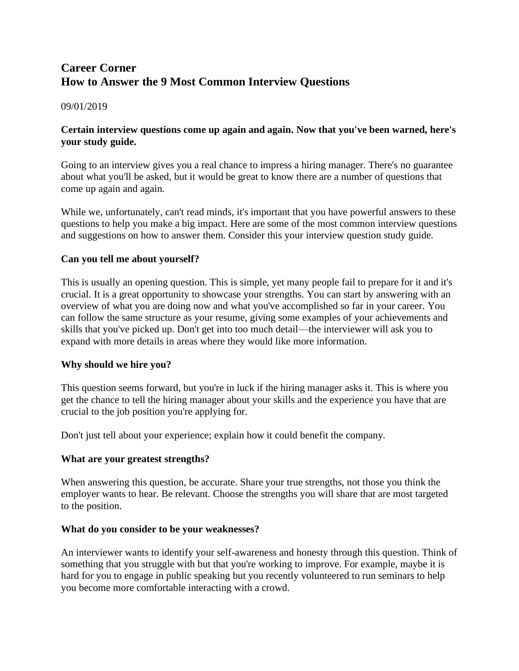# **Career Corner How to Answer the 9 Most Common Interview Questions**

09/01/2019

# **Certain interview questions come up again and again. Now that you've been warned, here's your study guide.**

Going to an interview gives you a real chance to impress a hiring manager. There's no guarantee about what you'll be asked, but it would be great to know there are a number of questions that come up again and again.

While we, unfortunately, can't read minds, it's important that you have powerful answers to these questions to help you make a big impact. Here are some of the most common interview questions and suggestions on how to answer them. Consider this your interview question study guide.

# **Can you tell me about yourself?**

This is usually an opening question. This is simple, yet many people fail to prepare for it and it's crucial. It is a great opportunity to showcase your strengths. You can start by answering with an overview of what you are doing now and what you've accomplished so far in your career. You can follow the same structure as your resume, giving some examples of your achievements and skills that you've picked up. Don't get into too much detail—the interviewer will ask you to expand with more details in areas where they would like more information.

# **Why should we hire you?**

This question seems forward, but you're in luck if the hiring manager asks it. This is where you get the chance to tell the hiring manager about your skills and the experience you have that are crucial to the job position you're applying for.

Don't just tell about your experience; explain how it could benefit the company.

# **What are your greatest strengths?**

When answering this question, be accurate. Share your true strengths, not those you think the employer wants to hear. Be relevant. Choose the strengths you will share that are most targeted to the position.

#### **What do you consider to be your weaknesses?**

An interviewer wants to identify your self-awareness and honesty through this question. Think of something that you struggle with but that you're working to improve. For example, maybe it is hard for you to engage in public speaking but you recently volunteered to run seminars to help you become more comfortable interacting with a crowd.